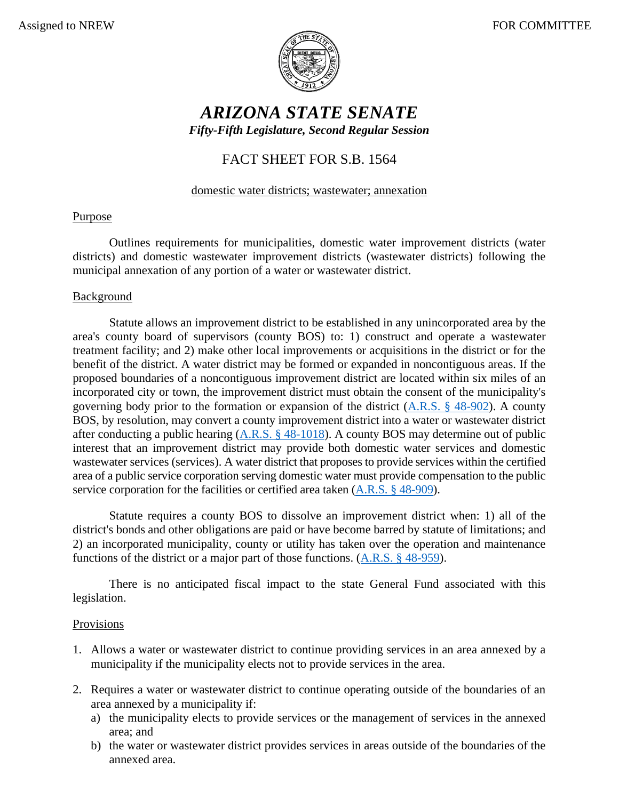

# *ARIZONA STATE SENATE Fifty-Fifth Legislature, Second Regular Session*

# FACT SHEET FOR S.B. 1564

#### domestic water districts; wastewater; annexation

## Purpose

Outlines requirements for municipalities, domestic water improvement districts (water districts) and domestic wastewater improvement districts (wastewater districts) following the municipal annexation of any portion of a water or wastewater district.

#### **Background**

Statute allows an improvement district to be established in any unincorporated area by the area's county board of supervisors (county BOS) to: 1) construct and operate a wastewater treatment facility; and 2) make other local improvements or acquisitions in the district or for the benefit of the district. A water district may be formed or expanded in noncontiguous areas. If the proposed boundaries of a noncontiguous improvement district are located within six miles of an incorporated city or town, the improvement district must obtain the consent of the municipality's governing body prior to the formation or expansion of the district [\(A.R.S. § 48-902\)](https://www.azleg.gov/viewdocument/?docName=https://www.azleg.gov/ars/48/00902.htm). A county BOS, by resolution, may convert a county improvement district into a water or wastewater district after conducting a public hearing [\(A.R.S. § 48-1018\)](https://www.azleg.gov/viewdocument/?docName=https://www.azleg.gov/ars/48/01018.htm). A county BOS may determine out of public interest that an improvement district may provide both domestic water services and domestic wastewater services (services). A water district that proposes to provide services within the certified area of a public service corporation serving domestic water must provide compensation to the public service corporation for the facilities or certified area taken [\(A.R.S. § 48-909\)](https://www.azleg.gov/viewdocument/?docName=https://www.azleg.gov/ars/48/00909.htm).

Statute requires a county BOS to dissolve an improvement district when: 1) all of the district's bonds and other obligations are paid or have become barred by statute of limitations; and 2) an incorporated municipality, county or utility has taken over the operation and maintenance functions of the district or a major part of those functions. [\(A.R.S. § 48-959\)](https://www.azleg.gov/viewdocument/?docName=https://www.azleg.gov/ars/48/00959.htm).

There is no anticipated fiscal impact to the state General Fund associated with this legislation.

## Provisions

- 1. Allows a water or wastewater district to continue providing services in an area annexed by a municipality if the municipality elects not to provide services in the area.
- 2. Requires a water or wastewater district to continue operating outside of the boundaries of an area annexed by a municipality if:
	- a) the municipality elects to provide services or the management of services in the annexed area; and
	- b) the water or wastewater district provides services in areas outside of the boundaries of the annexed area.